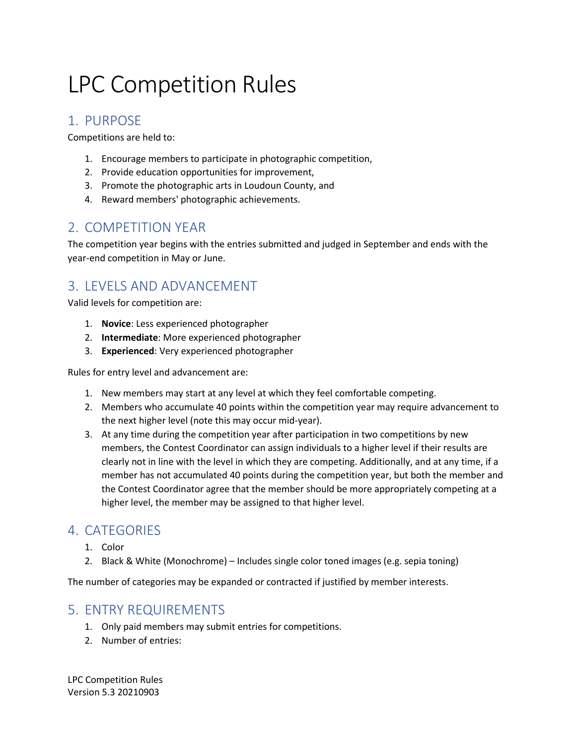# LPC Competition Rules

## 1. PURPOSE

Competitions are held to:

- 1. Encourage members to participate in photographic competition,
- 2. Provide education opportunities for improvement,
- 3. Promote the photographic arts in Loudoun County, and
- 4. Reward members' photographic achievements.

## 2. COMPETITION YEAR

The competition year begins with the entries submitted and judged in September and ends with the year-end competition in May or June.

## 3. LEVELS AND ADVANCEMENT

Valid levels for competition are:

- 1. **Novice**: Less experienced photographer
- 2. **Intermediate**: More experienced photographer
- 3. **Experienced**: Very experienced photographer

Rules for entry level and advancement are:

- 1. New members may start at any level at which they feel comfortable competing.
- 2. Members who accumulate 40 points within the competition year may require advancement to the next higher level (note this may occur mid-year).
- 3. At any time during the competition year after participation in two competitions by new members, the Contest Coordinator can assign individuals to a higher level if their results are clearly not in line with the level in which they are competing. Additionally, and at any time, if a member has not accumulated 40 points during the competition year, but both the member and the Contest Coordinator agree that the member should be more appropriately competing at a higher level, the member may be assigned to that higher level.

## 4. CATEGORIES

- 1. Color
- 2. Black & White (Monochrome) Includes single color toned images (e.g. sepia toning)

The number of categories may be expanded or contracted if justified by member interests.

#### 5. ENTRY REQUIREMENTS

- 1. Only paid members may submit entries for competitions.
- 2. Number of entries: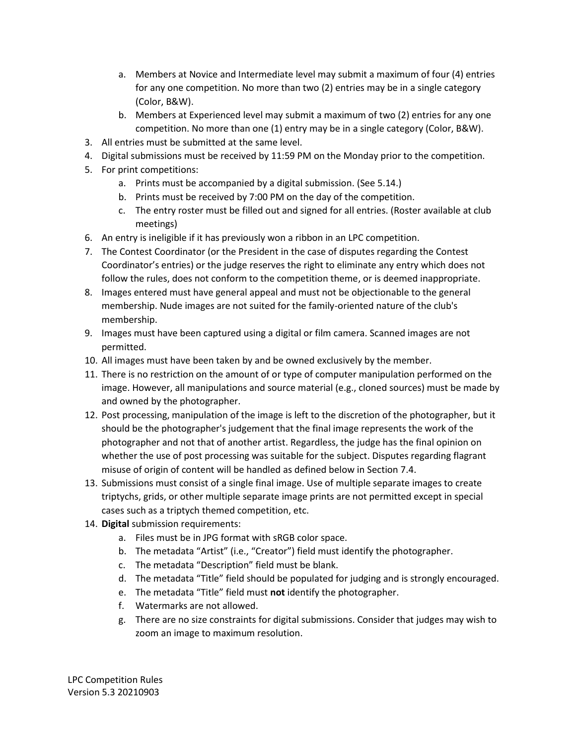- a. Members at Novice and Intermediate level may submit a maximum of four (4) entries for any one competition. No more than two (2) entries may be in a single category (Color, B&W).
- b. Members at Experienced level may submit a maximum of two (2) entries for any one competition. No more than one (1) entry may be in a single category (Color, B&W).
- 3. All entries must be submitted at the same level.
- 4. Digital submissions must be received by 11:59 PM on the Monday prior to the competition.
- 5. For print competitions:
	- a. Prints must be accompanied by a digital submission. (See 5.14.)
	- b. Prints must be received by 7:00 PM on the day of the competition.
	- c. The entry roster must be filled out and signed for all entries. (Roster available at club meetings)
- 6. An entry is ineligible if it has previously won a ribbon in an LPC competition.
- 7. The Contest Coordinator (or the President in the case of disputes regarding the Contest Coordinator's entries) or the judge reserves the right to eliminate any entry which does not follow the rules, does not conform to the competition theme, or is deemed inappropriate.
- 8. Images entered must have general appeal and must not be objectionable to the general membership. Nude images are not suited for the family-oriented nature of the club's membership.
- 9. Images must have been captured using a digital or film camera. Scanned images are not permitted.
- 10. All images must have been taken by and be owned exclusively by the member.
- 11. There is no restriction on the amount of or type of computer manipulation performed on the image. However, all manipulations and source material (e.g., cloned sources) must be made by and owned by the photographer.
- 12. Post processing, manipulation of the image is left to the discretion of the photographer, but it should be the photographer's judgement that the final image represents the work of the photographer and not that of another artist. Regardless, the judge has the final opinion on whether the use of post processing was suitable for the subject. Disputes regarding flagrant misuse of origin of content will be handled as defined below in Section 7.4.
- 13. Submissions must consist of a single final image. Use of multiple separate images to create triptychs, grids, or other multiple separate image prints are not permitted except in special cases such as a triptych themed competition, etc.
- 14. **Digital** submission requirements:
	- a. Files must be in JPG format with sRGB color space.
	- b. The metadata "Artist" (i.e., "Creator") field must identify the photographer.
	- c. The metadata "Description" field must be blank.
	- d. The metadata "Title" field should be populated for judging and is strongly encouraged.
	- e. The metadata "Title" field must **not** identify the photographer.
	- f. Watermarks are not allowed.
	- g. There are no size constraints for digital submissions. Consider that judges may wish to zoom an image to maximum resolution.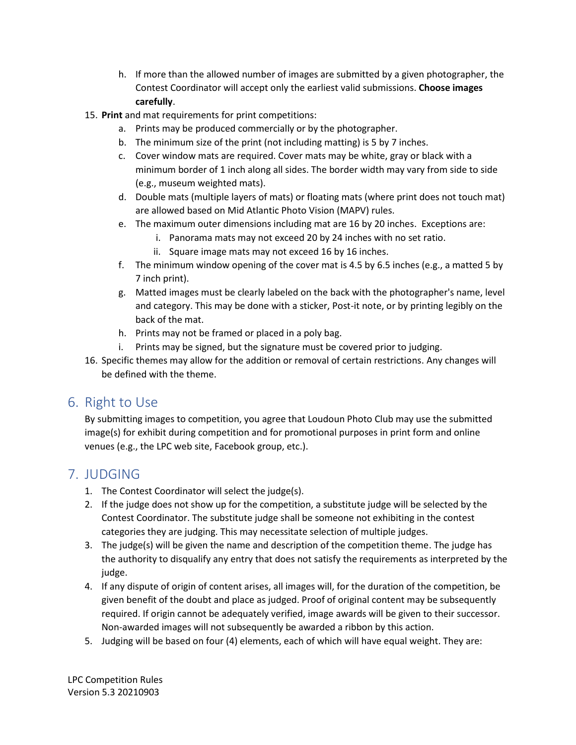- h. If more than the allowed number of images are submitted by a given photographer, the Contest Coordinator will accept only the earliest valid submissions. **Choose images carefully**.
- 15. **Print** and mat requirements for print competitions:
	- a. Prints may be produced commercially or by the photographer.
	- b. The minimum size of the print (not including matting) is 5 by 7 inches.
	- c. Cover window mats are required. Cover mats may be white, gray or black with a minimum border of 1 inch along all sides. The border width may vary from side to side (e.g., museum weighted mats).
	- d. Double mats (multiple layers of mats) or floating mats (where print does not touch mat) are allowed based on Mid Atlantic Photo Vision (MAPV) rules.
	- e. The maximum outer dimensions including mat are 16 by 20 inches. Exceptions are:
		- i. Panorama mats may not exceed 20 by 24 inches with no set ratio.
		- ii. Square image mats may not exceed 16 by 16 inches.
	- f. The minimum window opening of the cover mat is 4.5 by 6.5 inches (e.g., a matted 5 by 7 inch print).
	- g. Matted images must be clearly labeled on the back with the photographer's name, level and category. This may be done with a sticker, Post-it note, or by printing legibly on the back of the mat.
	- h. Prints may not be framed or placed in a poly bag.
	- i. Prints may be signed, but the signature must be covered prior to judging.
- 16. Specific themes may allow for the addition or removal of certain restrictions. Any changes will be defined with the theme.

## 6. Right to Use

By submitting images to competition, you agree that Loudoun Photo Club may use the submitted image(s) for exhibit during competition and for promotional purposes in print form and online venues (e.g., the LPC web site, Facebook group, etc.).

# 7. JUDGING

- 1. The Contest Coordinator will select the judge(s).
- 2. If the judge does not show up for the competition, a substitute judge will be selected by the Contest Coordinator. The substitute judge shall be someone not exhibiting in the contest categories they are judging. This may necessitate selection of multiple judges.
- 3. The judge(s) will be given the name and description of the competition theme. The judge has the authority to disqualify any entry that does not satisfy the requirements as interpreted by the judge.
- 4. If any dispute of origin of content arises, all images will, for the duration of the competition, be given benefit of the doubt and place as judged. Proof of original content may be subsequently required. If origin cannot be adequately verified, image awards will be given to their successor. Non-awarded images will not subsequently be awarded a ribbon by this action.
- 5. Judging will be based on four (4) elements, each of which will have equal weight. They are: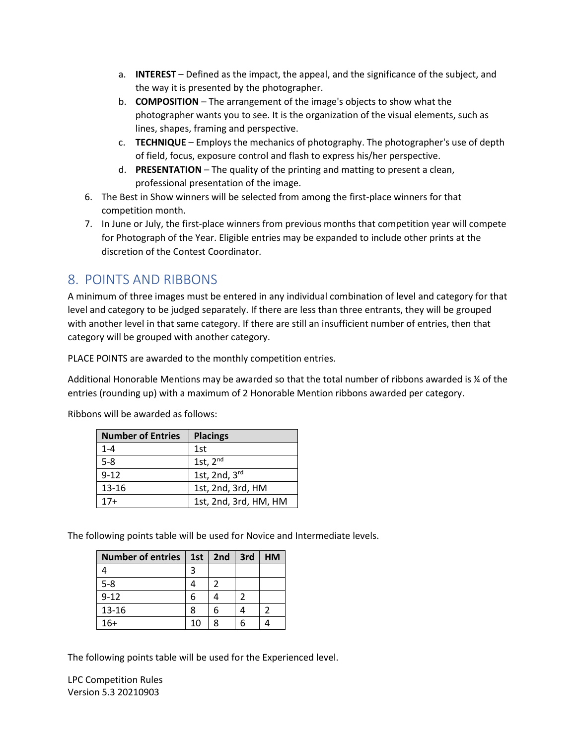- a. **INTEREST** Defined as the impact, the appeal, and the significance of the subject, and the way it is presented by the photographer.
- b. **COMPOSITION** The arrangement of the image's objects to show what the photographer wants you to see. It is the organization of the visual elements, such as lines, shapes, framing and perspective.
- c. **TECHNIQUE** Employs the mechanics of photography. The photographer's use of depth of field, focus, exposure control and flash to express his/her perspective.
- d. **PRESENTATION** The quality of the printing and matting to present a clean, professional presentation of the image.
- 6. The Best in Show winners will be selected from among the first-place winners for that competition month.
- 7. In June or July, the first-place winners from previous months that competition year will compete for Photograph of the Year. Eligible entries may be expanded to include other prints at the discretion of the Contest Coordinator.

## 8. POINTS AND RIBBONS

A minimum of three images must be entered in any individual combination of level and category for that level and category to be judged separately. If there are less than three entrants, they will be grouped with another level in that same category. If there are still an insufficient number of entries, then that category will be grouped with another category.

PLACE POINTS are awarded to the monthly competition entries.

Additional Honorable Mentions may be awarded so that the total number of ribbons awarded is ¼ of the entries (rounding up) with a maximum of 2 Honorable Mention ribbons awarded per category.

| <b>Number of Entries</b> | <b>Placings</b>       |
|--------------------------|-----------------------|
| $1 - 4$                  | 1st                   |
| $5 - 8$                  | 1st, $2nd$            |
| $9 - 12$                 | 1st, 2nd, 3rd         |
| 13-16                    | 1st, 2nd, 3rd, HM     |
| 17+                      | 1st, 2nd, 3rd, HM, HM |

Ribbons will be awarded as follows:

The following points table will be used for Novice and Intermediate levels.

| <b>Number of entries</b> |    | 1st   2nd | 3rd | <b>HM</b> |
|--------------------------|----|-----------|-----|-----------|
|                          | 3  |           |     |           |
| $5 - 8$                  |    | 2         |     |           |
| $9 - 12$                 | 6  |           | 2   |           |
| 13-16                    | 8  | 6         |     |           |
| $16+$                    | 10 | Ջ         |     |           |

The following points table will be used for the Experienced level.